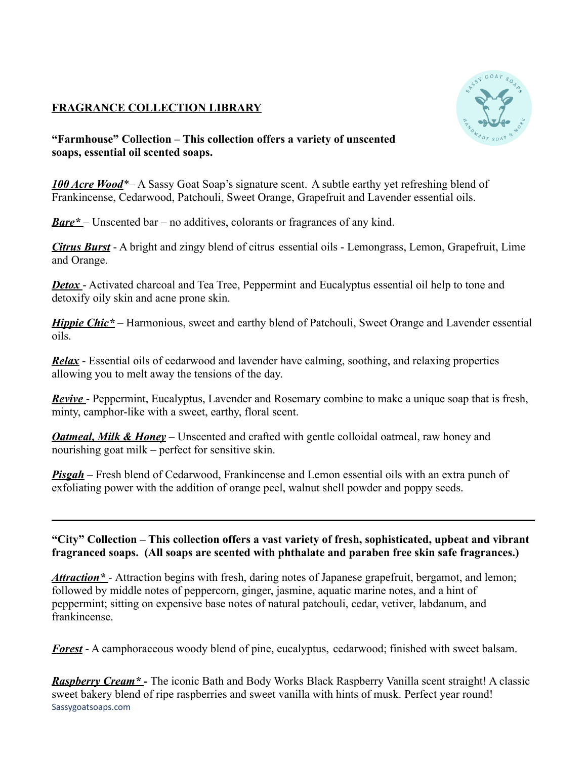## **FRAGRANCE COLLECTION LIBRARY**



**"Farmhouse" Collection – This collection offers a variety of unscented soaps, essential oil scented soaps.**

*100 Acre Wood*\*– A Sassy Goat Soap's signature scent. A subtle earthy yet refreshing blend of Frankincense, Cedarwood, Patchouli, Sweet Orange, Grapefruit and Lavender essential oils.

*Bare\** – Unscented bar – no additives, colorants or fragrances of any kind.

*Citrus Burst* - A bright and zingy blend of citrus essential oils - Lemongrass, Lemon, Grapefruit, Lime and Orange.

*Detox* - Activated charcoal and Tea Tree, Peppermint and Eucalyptus essential oil help to tone and detoxify oily skin and acne prone skin.

*Hippie Chic\** – Harmonious, sweet and earthy blend of Patchouli, Sweet Orange and Lavender essential oils.

*Relax* - Essential oils of cedarwood and lavender have calming, soothing, and relaxing properties allowing you to melt away the tensions of the day.

*Revive* - Peppermint, Eucalyptus, Lavender and Rosemary combine to make a unique soap that is fresh, minty, camphor-like with a sweet, earthy, floral scent.

*Oatmeal, Milk & Honey* – Unscented and crafted with gentle colloidal oatmeal, raw honey and nourishing goat milk – perfect for sensitive skin.

*Pisgah* – Fresh blend of Cedarwood, Frankincense and Lemon essential oils with an extra punch of exfoliating power with the addition of orange peel, walnut shell powder and poppy seeds.

## **"City" Collection – This collection offers a vast variety of fresh, sophisticated, upbeat and vibrant fragranced soaps. (All soaps are scented with phthalate and paraben free skin safe fragrances.)**

*Attraction\** - Attraction begins with fresh, daring notes of Japanese grapefruit, bergamot, and lemon; followed by middle notes of peppercorn, ginger, jasmine, aquatic marine notes, and a hint of peppermint; sitting on expensive base notes of natural patchouli, cedar, vetiver, labdanum, and frankincense.

*Forest* - A camphoraceous woody blend of pine, eucalyptus, cedarwood; finished with sweet balsam.

*Raspberry Cream\* -* The iconic Bath and Body Works Black Raspberry Vanilla scent straight! A classic sweet bakery blend of ripe raspberries and sweet vanilla with hints of musk. Perfect year round! Sassygoatsoaps.com